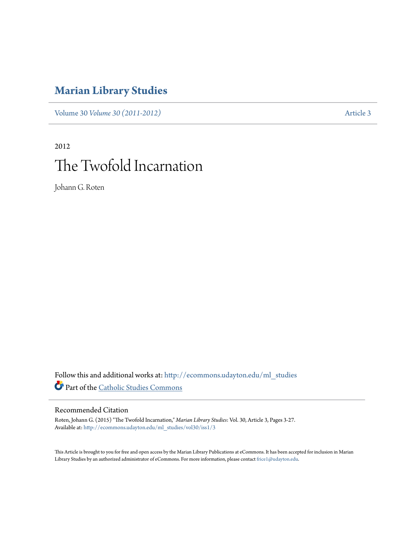# **[Marian Library Studies](http://ecommons.udayton.edu/ml_studies?utm_source=ecommons.udayton.edu%2Fml_studies%2Fvol30%2Fiss1%2F3&utm_medium=PDF&utm_campaign=PDFCoverPages)**

Volume 30 *[Volume 30 \(2011-2012\)](http://ecommons.udayton.edu/ml_studies/vol30?utm_source=ecommons.udayton.edu%2Fml_studies%2Fvol30%2Fiss1%2F3&utm_medium=PDF&utm_campaign=PDFCoverPages)* [Article 3](http://ecommons.udayton.edu/ml_studies/vol30/iss1/3?utm_source=ecommons.udayton.edu%2Fml_studies%2Fvol30%2Fiss1%2F3&utm_medium=PDF&utm_campaign=PDFCoverPages)

# 2012 The Twofold Incarnation

Johann G. Roten

Follow this and additional works at: [http://ecommons.udayton.edu/ml\\_studies](http://ecommons.udayton.edu/ml_studies?utm_source=ecommons.udayton.edu%2Fml_studies%2Fvol30%2Fiss1%2F3&utm_medium=PDF&utm_campaign=PDFCoverPages) Part of the [Catholic Studies Commons](http://network.bepress.com/hgg/discipline/1294?utm_source=ecommons.udayton.edu%2Fml_studies%2Fvol30%2Fiss1%2F3&utm_medium=PDF&utm_campaign=PDFCoverPages)

## Recommended Citation

Roten, Johann G. (2015) "The Twofold Incarnation," *Marian Library Studies*: Vol. 30, Article 3, Pages 3-27. Available at: [http://ecommons.udayton.edu/ml\\_studies/vol30/iss1/3](http://ecommons.udayton.edu/ml_studies/vol30/iss1/3?utm_source=ecommons.udayton.edu%2Fml_studies%2Fvol30%2Fiss1%2F3&utm_medium=PDF&utm_campaign=PDFCoverPages)

This Article is brought to you for free and open access by the Marian Library Publications at eCommons. It has been accepted for inclusion in Marian Library Studies by an authorized administrator of eCommons. For more information, please contact [frice1@udayton.edu.](mailto:frice1@udayton.edu)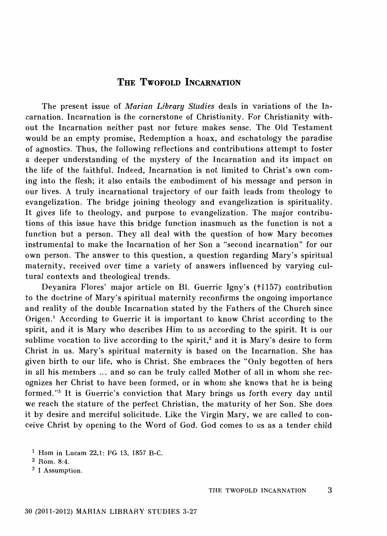### **THE TwoFOLD** INCARNATION

The present issue of *Marian Library Studies* deals in variations of the Incarnation. Incarnation is the cornerstone of Christianity. For Christianity without the Incarnation neither past nor future makes sense. The Old Testament would be an empty promise, Redemption a hoax, and eschatology the paradise of agnostics. Thus, the following reflections and contributions attempt to foster a deeper understanding of the mystery of the Incarnation and its impact on the life of the faithful. Indeed, Incarnation is not limited to Christ's own coming into the flesh; it also entails the embodiment of his message and person in our lives. A truly incarnational trajectory of our faith leads from theology to evangelization. The bridge joining theology and evangelization is spirituality. It gives life to theology, and purpose to evangelization. The major contributions of this issue have this bridge function inasmuch as the function is not a function but a person. They all deal with the question of how Mary becomes instrumental to make the Incarnation of her Son a "second incarnation" for our own person. The answer to this question, a question regarding Mary's spiritual maternity, received over time a variety of answers influenced by varying cultural contexts and theological trends.

Deyanira Flores' major article on Bl. Guerric Igny's (†1157) contribution to the doctrine of Mary's spiritual maternity reconfirms the ongoing importance and reality of the double Incarnation stated by the Fathers of the Church since Origen.<sup>1</sup> According to Guerric it is important to know Christ according to the spirit, and it is Mary who describes Him to us according to the spirit. It is our sublime vocation to live according to the spirit,<sup>2</sup> and it is Mary's desire to form Christ in us. Mary's spiritual maternity is based on the Incarnation. She has given birth to our life, who is Christ. She embraces the "Only begotten of hers in all his members ... and so can be truly called Mother of all in whom she recognizes her Christ to have been formed, or in whom she knows that he is being formed. "3 It is Guerric's conviction that Mary brings us forth every day until we reach the stature of the perfect Christian, the maturity of her Son. She does it by desire and merciful solicitude. Like the Virgin Mary, we are called to conceive Christ by opening to the Word of God. God comes to us as a tender child

1 Hom in Lucam 22,1: PG 13, 1857 B-C.

3 I Assumption.

<sup>2</sup> Rom. 8:4.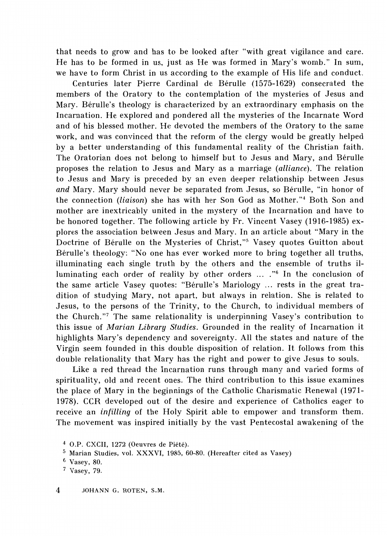that needs to grow and has to be looked after "with great vigilance and care. He has to be formed in us, just as He was formed in Mary's womb." In sum, we have to form Christ in us according to the example of His life and conduct.

Centuries later Pierre Cardinal de Berulle (1575-1629) consecrated the members of the Oratory to the contemplation of the mysteries of Jesus and Mary. Berulle's theology is characterized by an extraordinary emphasis on the Incarnation. He explored and pondered all the mysteries of the Incarnate Word and of his blessed mother. He devoted the members of the Oratory to the same work, and was convinced that the reform of the clergy would be greatly helped by a better understanding of this fundamental reality of the Christian faith. The Oratorian does not belong to himself but to Jesus and Mary, and Berulle proposes the relation to Jesus and Mary as a marriage *(alliance).* The relation to Jesus and Mary is preceded by an even deeper relationship between Jesus and Mary. Mary should never be separated from Jesus, so Bérulle, "in honor of the connection *(liaison)* she has with her Son God as Mother."<sup>4</sup> Both Son and mother are inextricably united in the mystery of the Incarnation and have to be honored together. The following article by Fr. Vincent Vasey (1916-1985) explores the association between Jesus and Mary. In an article about "Mary in the Doctrine of Bérulle on the Mysteries of Christ,"<sup>5</sup> Vasey quotes Guitton about Berulle's theology: "No one has ever worked more to bring together all truths, illuminating each single truth by the others and the ensemble of truths illuminating each order of reality by other orders .... "6 In the conclusion of the same article Vasey quotes: "Berulle's Mariology ... rests in the great tradition of studying Mary, not apart, but always in relation. She is related to Jesus, to the persons of the Trinity, to the Church, to individual members of the Church."<sup>7</sup> The same relationality is underpinning Vasey's contribution to this issue of *Marian Library Studies.* Grounded in the reality of Incarnation it highlights Mary's dependency and sovereignty. All the states and nature of the Virgin seem founded in this double disposition of relation. It follows from this double relationality that Mary has the right and power to give Jesus to souls.

Like a red thread the Incarnation runs through many and varied forms of spirituality, old and recent ones. The third contribution to this issue examines the place of Mary in the beginnings of the Catholic Charismatic Renewal (1971- 1978). CCR developed out of the desire and experience of Catholics eager to receive an *infilling* of the Holy Spirit able to empower and transform them. The movement was inspired initially by the vast Pentecostal awakening of the

<sup>4</sup> O.P. CXCII, 1272 (Oeuvres de Piete).

<sup>5</sup> Marian Studies, val. XXXVI, 1985, 60-80. (Hereafter cited as Vasey)

<sup>6</sup> Vasey, 80.

<sup>7</sup> Vasey, 79.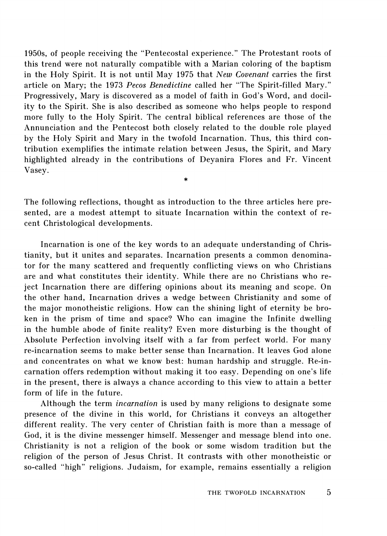1950s, of people receiving the "Pentecostal experience." The Protestant roots of this trend were not naturally compatible with a Marian coloring of the baptism in the Holy Spirit. It is not until May 1975 that *New Covenant* carries the first article on Mary; the 1973 *Pecos Benedictine* called her "The Spirit-filled Mary." Progressively, Mary is discovered as a model of faith in God's Word, and docility to the Spirit. She is also described as someone who helps people to respond more fully to the Holy Spirit. The central biblical references are those of the Annunciation and the Pentecost both closely related to the double role played by the Holy Spirit and Mary in the twofold Incarnation. Thus, this third contribution exemplifies the intimate relation between Jesus, the Spirit, and Mary highlighted already in the contributions of Deyanira Flores and Fr. Vincent Vasey.

The following reflections, thought as introduction to the three articles here presented, are a modest attempt to situate Incarnation within the context of recent Christological developments.

\*

Incarnation is one of the key words to an adequate understanding of Christianity, but it unites and separates. Incarnation presents a common denominator for the many scattered and frequently conflicting views on who Christians are and what constitutes their identity. While there are no Christians who reject Incarnation there are differing opinions about its meaning and scope. On the other hand, Incarnation drives a wedge between Christianity and some of the major monotheistic religions. How can the shining light of eternity be broken in the prism of time and space? Who can imagine the Infinite dwelling in the humble abode of finite reality? Even more disturbing is the thought of Absolute Perfection involving itself with a far from perfect world. For many re-incarnation seems to make better sense than Incarnation. It leaves God alone and concentrates on what we know best: human hardship and struggle. Re-incarnation offers redemption without making it too easy. Depending on one's life in the present, there is always a chance according to this view to attain a better form of life in the future.

Although the term *incarnation* is used by many religions to designate some presence of the divine in this world, for Christians it conveys an altogether different reality. The very center of Christian faith is more than a message of God, it is the divine messenger himself. Messenger and message blend into one. Christianity is not a religion of the book or some wisdom tradition but the religion of the person of Jesus Christ. It contrasts with other monotheistic or so-called "high" religions. Judaism, for example, remains essentially a religion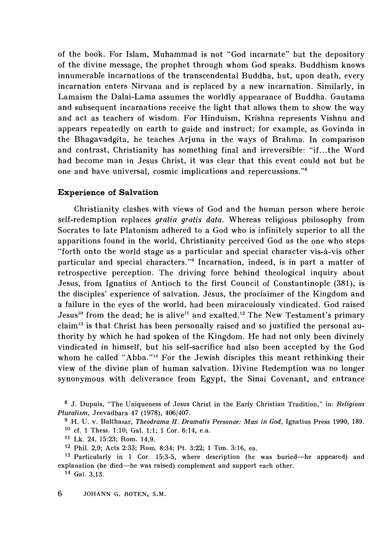of the book. For Islam, Muhammad is not "God incarnate" but the depository of the divine message, the prophet through whom God speaks. Buddhism knows innumerable incarnations of the transcendental Buddha, but, upon death, every incarnation enters Nirvana and is replaced by a new incarnation. Similarly, in Lamaism the Dalai-Lama assumes the worldly appearance of Buddha. Gautama and subsequent incarnations receive the light that allows them to show the way and act as teachers of wisdom. For Hinduism, Krishna represents Vishnu and appears repeatedly on earth to guide and instruct; for example, as Govinda in the Bhagavadgita, he teaches Arjuna in the ways of Brahma. In comparison and contrast, Christianity has something final and irreversible: "if. .. the Word had become man in Jesus Christ, it was clear that this event could not but be one and have universal, cosmic implications and repercussions. "8

#### **Experience of Salvation**

Christianity clashes with views of God and the human person where heroic self-redemption replaces *gratia gratis data.* Whereas religious philosophy from Socrates to late Platonism adhered to a God who is infinitely superior to all the apparitions found in the world, Christianity perceived God as the one who steps "forth onto the world stage as a particular and special character vis-a-vis other particular and special characters. "9 Incarnation, indeed, is in part a matter of retrospective perception. The driving force behind theological inquiry about Jesus, from Ignatius of Antioch to the first Council of Constantinople (381), is the disciples' experience of salvation. Jesus, the proclaimer of the Kingdom and a failure in the eyes of the world, had been miraculously vindicated. God raised Jesus<sup>10</sup> from the dead; he is alive<sup>11</sup> and exalted.<sup>12</sup> The New Testament's primary claim<sup>13</sup> is that Christ has been personally raised and so justified the personal authority by which he had spoken of the Kingdom. He had not only been divinely vindicated in himself, but his self-sacrifice had also been accepted by the God whom he called "Abba."<sup>14</sup> For the Jewish disciples this meant rethinking their view of the divine plan of human salvation. Divine Redemption was no longer synonymous with deliverance from Egypt, the Sinai Covenant, and entrance

<sup>8</sup> J. Dupuis, "The Uniqueness of Jesus Christ in the Early Christian Tradition," in: *Religious Pluralism,* Jeevadhara 47 (1978), 406/407.

<sup>&</sup>lt;sup>9</sup> H. U. v. Balthasar, *Theodrama II. Dramatis Personae: Man in God*, Ignatius Press 1990, 189. 10 cf. 1 Thess. 1:10; Gal. 1:1; 1 Cor. 6:14, e.a.

<sup>11</sup>Lk. 24, 15:23; Rom. 14,9.

<sup>12</sup> Phil. 2,9; Acts 2:33; Rom. 8:34; Pt. 3:22; 1 Tim. 3:16, ea.

<sup>13</sup> Particularly in 1 Cor. 15:3-5, where description (he was buried-he appeared) and explanation (he died-he was raised) complement and support each other.

<sup>14</sup> Gal. 3, 13.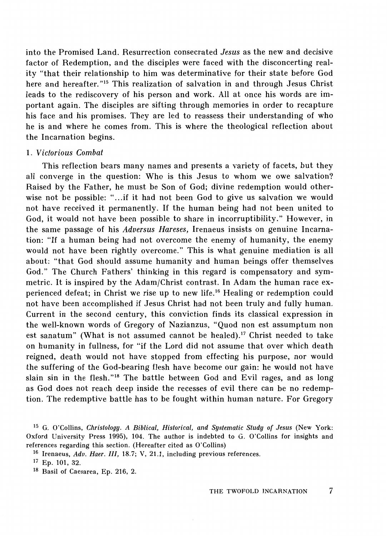into the Promised Land. Resurrection consecrated *Jesus* as the new and decisive factor of Redemption, and the disciples were faced with the disconcerting reality "that their relationship to him was determinative for their state before God here and hereafter."<sup>15</sup> This realization of salvation in and through Jesus Christ leads to the rediscovery of his person and work. All at once his words are important again. The disciples are sifting through memories in order to recapture his face and his promises. They are led to reassess their understanding of who he is and where he comes from. This is where the theological reflection about the Incarnation begins.

#### 1. *Victorious Combat*

This reflection bears many names and presents a variety of facets, but they all converge in the question: Who is this Jesus to whom we owe salvation? Raised by the Father, he must be Son of God; divine redemption would otherwise not be possible: "...if it had not been God to give us salvation we would not have received it permanently. If the human being had not been united to God, it would not have been possible to share in incorruptibility." However, in the same passage of his *Adversus Hareses,* Irenaeus insists on genuine Incarnation: "If a human being had not overcome the enemy of humanity, the enemy would not have been rightly overcome." This is what genuine mediation is all about: "that God should assume humanity and human beings offer themselves God." The Church Fathers' thinking in this regard is compensatory and symmetric. It is inspired by the Adam/Christ contrast. In Adam the human race experienced defeat; in Christ we rise up to new life. 16 Healing or redemption could not have been accomplished if Jesus Christ had not been truly and fully human. Current in the second century, this conviction finds its classical expression in the well-known words of Gregory of Nazianzus, "Quod non est assumptum non est sanatum" (What is not assumed cannot be healed).<sup>17</sup> Christ needed to take on humanity in fullness, for "if the Lord did not assume that over which death reigned, death would not have stopped from effecting his purpose, nor would the suffering of the God-bearing flesh have become our gain: he would not have slain sin in the flesh."<sup>18</sup> The battle between God and Evil rages, and as long as God does not reach deep inside the recesses of evil there can be no redemption. The redemptive battle has to be fought within human nature. For Gregory

<sup>&</sup>lt;sup>15</sup> G. O'Collins, *Christology. A Biblical, Historical, and Systematic Study of Jesus* (New York: Oxford University Press 1995), 104. The author is indebted to G. O'Collins for insights and references regarding this section. (Hereafter cited as O'Collins)

<sup>16</sup> Irenaeus, *Adv. Haer. III,* 18.7; V, 21.1, including previous references.

<sup>17</sup> Ep. 101, 32.

<sup>18</sup> Basil of Caesarea, Ep. 216, 2.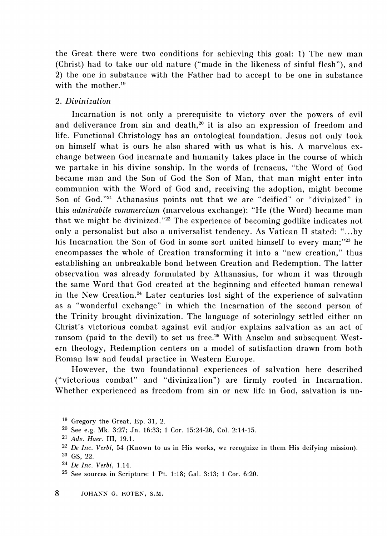the Great there were two conditions for achieving this goal: 1) The new man (Christ) had to take our old nature ("made in the likeness of sinful flesh"), and 2) the one in substance with the Father had to accept to be one in substance with the mother.<sup>19</sup>

#### 2. *Divinization*

Incarnation is not only a prerequisite to victory over the powers of evil and deliverance from sin and death,<sup>20</sup> it is also an expression of freedom and life. Functional Christology has an ontological foundation. Jesus not only took on himself what is ours he also shared with us what is his. A marvelous exchange between God incarnate and humanity takes place in the course of which we partake in his divine sonship. In the words of Irenaeus, "the Word of God became man and the Son of God the Son of Man, that man might enter into communion with the Word of God and, receiving the adoption, might become Son of God."<sup>21</sup> Athanasius points out that we are "deified" or "divinized" in this *admirabile commercium* (marvelous exchange): "He (the Word) became man that we might be divinized."<sup>22</sup> The experience of becoming godlike indicates not only a personalist but also a universalist tendency. As Vatican II stated: " ... by his Incarnation the Son of God in some sort united himself to every man;"<sup>23</sup> he encompasses the whole of Creation transforming it into a "new creation," thus establishing an unbreakable bond between Creation and Redemption. The latter observation was already formulated by Athanasius, for whom it was through the same Word that God created at the beginning and effected human renewal in the New Creation. 24 Later centuries lost sight of the experience of salvation as a "wonderful exchange" in which the Incarnation of the second person of the Trinity brought divinization. The language of soteriology settled either on Christ's victorious combat against evil and/or explains salvation as an act of ransom (paid to the devil) to set us free.<sup>25</sup> With Anselm and subsequent Western theology, Redemption centers on a model of satisfaction drawn from both Roman law and feudal practice in Western Europe.

However, the two foundational experiences of salvation here described ("victorious combat" and "divinization") are firmly rooted in Incarnation. Whether experienced as freedom from sin or new life in God, salvation is un-

25 See sources in Scripture: 1 Pt. 1:18; Gal. 3:13; 1 Cor. 6:20.

<sup>19</sup> Gregory the Great, Ep. 31, 2.

<sup>20</sup> See e.g. Mk. 3:27; Jn. 16:33; 1 Cor. 15:24-26, Col. 2:14-15.

<sup>21</sup> *Adv. Haer.* III, 19.1.

<sup>22</sup> *De Inc. Verbi,* 54 (Known to us in His works, we recognize in them His deifying mission).

<sup>23</sup> GS, 22.

<sup>24</sup> *Delnc. Verbi,* 1.14.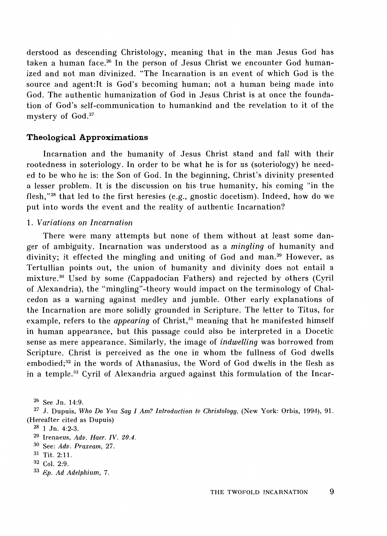derstood as descending Christology, meaning that in the man Jesus God has taken a human face.<sup>26</sup> In the person of Jesus Christ we encounter God humanized and not man divinized. "The Incarnation is an event of which God is the source and agent:lt is God's becoming human; not a human being made into God. The authentic humanization of God in Jesus Christ is at once the foundation of God's self-communication to humankind and the revelation to it of the mystery of God.<sup>27</sup>

#### **Theological Approximations**

Incarnation and the humanity of Jesus Christ stand and fall with their rootedness in soteriology. In order to be what he is for us (soteriology) he needed to be who he is: the Son of God. In the beginning, Christ's divinity presented a lesser problem. It is the discussion on his true humanity, his coming "in the flesh," $28$  that led to the first heresies (e.g., gnostic docetism). Indeed, how do we put into words the event and the reality of authentic Incarnation?

#### 1. *Variations on Incarnation*

There were many attempts but none of them without at least some danger of ambiguity. Incarnation was understood as a *mingling* of humanity and divinity; it effected the mingling and uniting of God and man.<sup>29</sup> However, as Tertullian points out, the union of humanity and divinity does not entail a mixture.<sup>30</sup> Used by some (Cappadocian Fathers) and rejected by others (Cyril of Alexandria), the "mingling" -theory would impact on the terminology of Chalcedon as a warning against medley and jumble. Other early explanations of the Incarnation are more solidly grounded in Scripture. The letter to Titus, for example, refers to the *appearing* of Christ,<sup>31</sup> meaning that he manifested himself in human appearance, but this passage could also be interpreted in a Docetic sense as mere appearance. Similarly, the image of *indwelling* was borrowed from Scripture. Christ is perceived as the one in whom the fullness of God dwells embodied;<sup>32</sup> in the words of Athanasius, the Word of God dwells in the flesh as in a temple.<sup>33</sup> Cyril of Alexandria argued against this formulation of the Incar-

26 See Jn. 14:9.

27 J. Dupuis, *Who Do You Say I Am? Introduction to Christology,* (New York: Orbis, 1994), 91. (Hereafter cited as Dupuis)

 $28$  1 Jn. 4:2-3.

<sup>29</sup> Irenaeus, *Adv. Haer. IV. 20.4.* 

<sup>30</sup> See: *Adv. Praxeam,* 27.

<sup>31</sup> Tit. 2:11.

<sup>32</sup> *Col.* 2:9.

<sup>33</sup> *Ep. Ad Adelphium,* 7.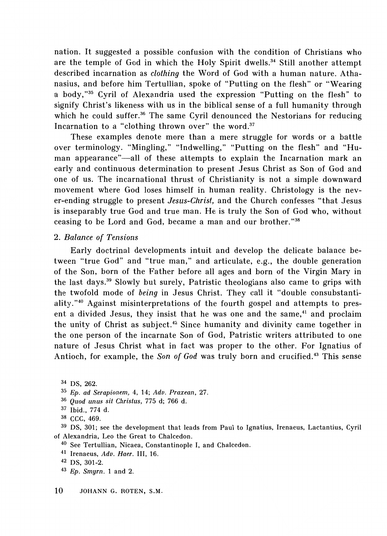nation. It suggested a possible confusion with the condition of Christians who are the temple of God in which the Holy Spirit dwells.<sup>34</sup> Still another attempt described incarnation as *clothing* the Word of God with a human nature. Athanasius, and before him Tertullian, spoke of "Putting on the flesh" or "Wearing a body,"35 Cyril of Alexandria used the expression "Putting on the flesh" to signify Christ's likeness with us in the biblical sense of a full humanity through which he could suffer.<sup>36</sup> The same Cyril denounced the Nestorians for reducing Incarnation to a "clothing thrown over" the word.<sup>37</sup>

These examples denote more than a mere struggle for words or a battle over terminology. "Mingling," "Indwelling," "Putting on the flesh" and "Human appearance"-all of these attempts to explain the Incarnation mark an early and continuous determination to present Jesus Christ as Son of God and one of us. The incarnational thrust of Christianity is not a simple downward movement where God loses himself in human reality. Christology is the never-ending struggle to present *Jesus-Christ,* and the Church confesses "that Jesus is inseparably true God and true man. He is truly the Son of God who, without ceasing to be Lord and God, became a man and our brother. "38

#### 2. *Balance of Tensions*

Early doctrinal developments intuit and develop the delicate balance between "true God" and "true man," and articulate, e.g., the double generation of the Son, born of the Father before all ages and born of the Virgin Mary in the last days.39 Slowly but surely, Patristic theologians also came to grips with the twofold mode of *being* in Jesus Christ. They call it "double consubstantiality."40 Against misinterpretations of the fourth gospel and attempts to present a divided Jesus, they insist that he was one and the same,<sup>41</sup> and proclaim the unity of Christ as subject.<sup>42</sup> Since humanity and divinity came together in the one person of the incarnate Son of God, Patristic writers attributed to one nature of Jesus Christ what in fact was proper to the other. For Ignatius of Antioch, for example, the *Son of God* was truly born and crucified.<sup>43</sup> This sense

<sup>34</sup>DS, 262.

- 35 *Ep. ad Serapionem,* 4, 14; *Adv. Praxean,* 27.
- 36 *Quod unus sit Christus,* 775 d; 766 d.
- <sup>37</sup>Ibid., 774 d.
- 38 CCC, 469.

39 DS, 301; see the development that leads from Paul to Ignatius, Irenaeus, Lactantius, Cyril of Alexandria, Leo the Great to Chalcedon.

40 See Tertullian, Nicaea, Constantinople I, and Chalcedon.

41 lrenaeus, *Adv. Haer.* III, 16.

<sup>43</sup>*Ep. Smyrn.* 1 and 2.

<sup>42</sup> DS, 301-2.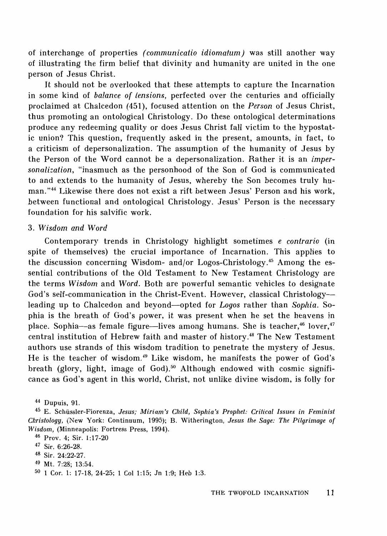of interchange of properties *( communicatio idiomatum)* was still another way of illustrating the firm belief that divinity and humanity are united in the one person of Jesus Christ.

It should not be overlooked that these attempts to capture the Incarnation in some kind of *balance of tensions,* perfected over the centuries and officially proclaimed at Chalcedon (451), focused attention on the *Person* of Jesus Christ, thus promoting an ontological Christology. Do these ontological determinations produce any redeeming quality or does Jesus Christ fall victim to the hypostatic union? This question, frequently asked in the present, amounts, in fact, to a criticism of depersonalization. The assumption of the humanity of Jesus by the Person of the Word cannot be a depersonalization. Rather it is an *impersonalization,* "inasmuch as the personhood of the Son of God is communicated to and extends to the humanity of Jesus, whereby the Son becomes truly human."44 Likewise there does not exist a rift between Jesus' Person and his work, between functional and ontological Christology. Jesus' Person is the necessary foundation for his salvific work.

#### 3. *Wisdom and Word*

Contemporary trends in Christology highlight sometimes *e contrario* (in spite of themselves) the crucial importance of Incarnation. This applies to the discussion concerning Wisdom- and/or Logos-Christology.<sup>45</sup> Among the essential contributions of the Old Testament to New Testament Christology are the terms *Wisdom* and *Word.* Both are powerful semantic vehicles to designate God's self-communication in the Christ-Event. However, classical Christologyleading up to Chalcedon and beyond-opted for *Logos* rather than *Sophia.* Sophia is the breath of God's power, it was present when he set the heavens in place. Sophia-as female figure--lives among humans. She is teacher,<sup>46</sup> lover,<sup>47</sup> central institution of Hebrew faith and master of history.<sup>48</sup> The New Testament authors use strands of this wisdom tradition to penetrate the mystery of Jesus. He is the teacher of wisdom.49 Like wisdom, he manifests the power of God's breath (glory, light, image of God).<sup>50</sup> Although endowed with cosmic significance as God's agent in this world, Christ, not unlike divine wisdom, is folly for

<sup>44</sup> Dupuis, 91.

<sup>45</sup>E. Schussler-Fiorenza, *Jesus; Miriam's Child, Sophia's Prophet: Critical Issues in Feminist Christology,* (New York: Continuum, 1995); B. Witherington, *Jesus the Sage: The Pilgrimage of Wisdom,* (Minneapolis: Fortress Press, 1994).

<sup>46</sup> Prov. 4; Sir. 1:17-20

<sup>47</sup> Sir. 6:26-28.

<sup>48</sup>Sir. 24:22-27.

<sup>49</sup> Mt. 7:28; 13:54.

<sup>50 1</sup> Cor. 1: 17-18, 24-25; 1 Col 1:15; Jn 1:9; Heb 1:3.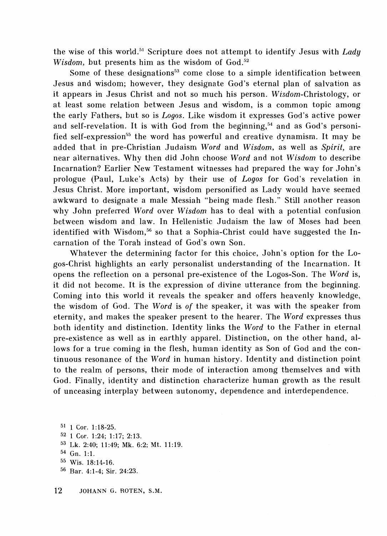the wise of this world. 51 Scripture does not attempt to identify Jesus with *Lady Wisdom*, but presents him as the wisdom of God.<sup>52</sup>

Some of these designations<sup>53</sup> come close to a simple identification between Jesus and wisdom; however, they designate God's eternal plan of salvation as it appears in Jesus Christ and not so much his person. Wisdom-Christology, or at least some relation between Jesus and wisdom, is a common topic among the early Fathers, but so is *Logos.* Like wisdom it expresses God's active power and self-revelation. It is with God from the beginning,<sup>54</sup> and as God's personified self-expression<sup>55</sup> the word has powerful and creative dynamism. It may be added that in pre-Christian Judaism *Word* and *Wisdom,* as well as *Spirit,* are near alternatives. Why then did John choose *Word* and not *Wisdom* to describe Incarnation? Earlier New Testament witnesses had prepared the way for John's prologue (Paul, Luke's Acts) by their use of *Logos* for God's revelation in Jesus Christ. More important, wisdom personified as Lady would have seemed awkward to designate a male Messiah "being made flesh." Still another reason why John preferred *Word* over *Wisdom* has to deal with a potential confusion between wisdom and law. In Hellenistic Judaism the law of Moses had been identified with Wisdom,<sup>56</sup> so that a Sophia-Christ could have suggested the Incarnation of the Torah instead of God's own Son.

Whatever the determining factor for this choice, John's option for the Logos-Christ highlights an early personalist understanding of the Incarnation. It opens the reflection on a personal pre-existence of the Logos-Son. The *Word* is, it did not become. It is the expression of divine utterance from the beginning. Coming into this world it reveals the speaker and offers heavenly knowledge, the wisdom of God. The *Word* is *of* the speaker, it was with the speaker from eternity, and makes the speaker present to the hearer. The *Word* expresses thus both identity and distinction. Identity links the *Word* to the Father in eternal pre-existence as well as in earthly apparel. Distinction, on the other hand, allows for a true coming in the flesh, human identity as Son of God and the continuous resonance of the *Word* in human history. Identity and distinction point to the realm of persons, their mode of interaction among themselves and with God. Finally, identity and distinction characterize human growth as the result of unceasing interplay between autonomy, dependence and interdependence.

51 1 Cor. 1:18-25. 52 1 Cor. 1 :24; 1 :17; 2:13. 53 Lk. 2:40; 11:49; Mk. 6:2; Mt. 11:19. 54 Gn. 1:1. 55 Wis. 18:14-16. 56 Bar. 4:1-4; Sir. 24:23.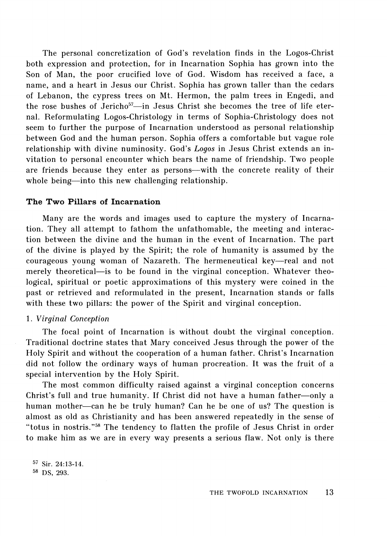The personal concretization of God's revelation finds in the Logos-Christ both expression and protection, for in Incarnation Sophia has grown into the Son of Man, the poor crucified love of God. Wisdom has received a face, a name, and a heart in Jesus our Christ. Sophia has grown taller than the cedars of Lebanon, the cypress trees on Mt. Hermon, the palm trees in Engedi, and the rose bushes of Jericho<sup>57</sup>-in Jesus Christ she becomes the tree of life eternal. Reformulating Logos-Christology in terms of Sophia-Christology does not seem to further the purpose of Incarnation understood as personal relationship between God and the human person. Sophia offers a comfortable but vague role relationship with divine numinosity. God's *Logos* in Jesus Christ extends an invitation to personal encounter which bears the name of friendship. Two people are friends because they enter as persons—with the concrete reality of their whole being—into this new challenging relationship.

#### **The Two Pillars of Incarnation**

Many are the words and images used to capture the mystery of Incarnation. They all attempt to fathom the unfathomable, the meeting and interaction between the divine and the human in the event of Incarnation. The part of the divine is played by the Spirit; the role of humanity is assumed by the courageous young woman of Nazareth. The hermeneutical key-real and not merely theoretical—is to be found in the virginal conception. Whatever theological, spiritual or poetic approximations of this mystery were coined in the past or retrieved and reformulated in the present, Incarnation stands or falls with these two pillars: the power of the Spirit and virginal conception.

#### 1. *Virginal Conception*

The focal point of Incarnation is without doubt the virginal conception. Traditional doctrine states that Mary conceived Jesus through the power of the Holy Spirit and without the cooperation of a human father. Christ's Incarnation did not follow the ordinary ways of human procreation. It was the fruit of a special intervention by the Holy Spirit.

The most common difficulty raised against a virginal conception concerns Christ's full and true humanity. If Christ did not have a human father-only a human mother-can he be truly human? Can he be one of us? The question is almost as old as Christianity and has been answered repeatedly in the sense of "totus in nostris."<sup>58</sup> The tendency to flatten the profile of Jesus Christ in order to make him as we are in every way presents a serious flaw. Not only is there

57 Sir. 24:13-14. 58 DS, 293.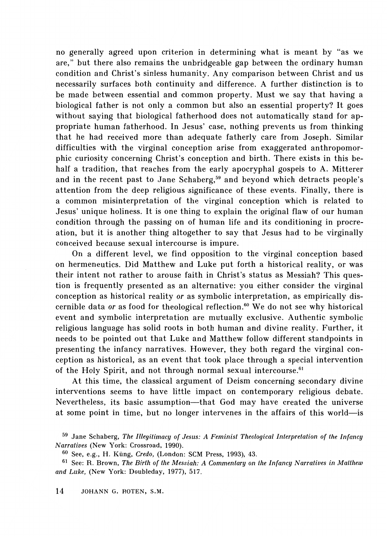no generally agreed upon criterion in determining what is meant by "as we are," but there also remains the unbridgeable gap between the ordinary human condition and Christ's sinless humanity. Any comparison between Christ and us necessarily surfaces both continuity and difference. A further distinction is to be made between essential and common property. Must we say that having a biological father is not only a common but also an essential property? It goes without saying that biological fatherhood does not automatically stand for appropriate human fatherhood. In Jesus' case, nothing prevents us from thinking that he had received more than adequate fatherly care from Joseph. Similar difficulties with the virginal conception arise from exaggerated anthropomorphic curiosity concerning Christ's conception and birth. There exists in this behalf a tradition, that reaches from the early apocryphal gospels to A. Mitterer and in the recent past to Jane Schaberg,<sup>59</sup> and beyond which detracts people's attention from the deep religious significance of these events. Finally, there is a common misinterpretation of the virginal conception which is related to Jesus' unique holiness. It is one thing to explain the original flaw of our human condition through the passing on of human life and its conditioning in procreation, but it is another thing altogether to say that Jesus had to be virginally conceived because sexual intercourse is impure.

On a different level, we find opposition to the virginal conception based on hermeneutics. Did Matthew and Luke put forth a historical reality, or was their intent not rather to arouse faith in Christ's status as Messiah? This question is frequently presented as an alternative: you either consider the virginal conception as historical reality *or* as symbolic interpretation, as empirically discernible data *or* as food for theological reflection.<sup>60</sup> We do not see why historical event and symbolic interpretation are mutually exclusive. Authentic symbolic religious language has solid roots in both human and divine reality. Further, it needs to be pointed out that Luke and Matthew follow different standpoints in presenting the infancy narratives. However, they both regard the virginal conception as historical, as an event that took place through a special intervention of the Holy Spirit, and not through normal sexual intercourse.<sup>61</sup>

At this time, the classical argument of Deism concerning secondary divine interventions seems to have little impact on contemporary religious debate. Nevertheless, its basic assumption-that God may have created the universe at some point in time, but no longer intervenes in the affairs of this world-is

<sup>59</sup> Jane Schaberg, *The Illegitimacy of Jesus: A Feminist Theological Interpretation of the Infancy Narratives* (New York: Crossroad, 1990).

<sup>60</sup> See, e.g., H. Kung, *Credo,* (London: SCM Press, 1993), 43.

<sup>61</sup> See: R. Brown, *The Birth of the Messiah: A Commentary on the Infancy Narratives in Matthew and Luke,* (New York: Doubleday, 1977), 517.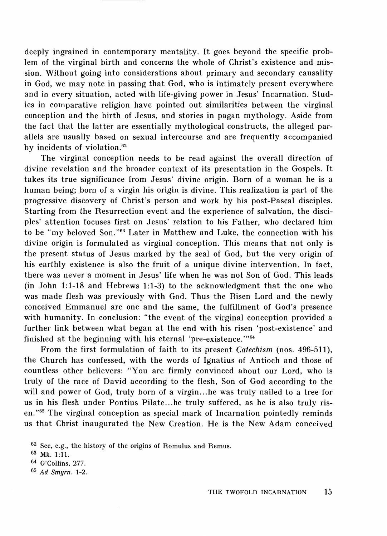deeply ingrained in contemporary mentality. It goes beyond the specific problem of the virginal birth and concerns the whole of Christ's existence and mission. Without going into considerations about primary and secondary causality in God, we may note in passing that God, who is intimately present everywhere and in every situation, acted with life-giving power in Jesus' Incarnation. Studies in comparative religion have pointed out similarities between the virginal conception and the birth of Jesus, and stories in pagan mythology. Aside from the fact that the latter are essentially mythological constructs, the alleged parallels are usually based on sexual intercourse and are frequently accompanied by incidents of violation.<sup>62</sup>

The virginal conception needs to be read against the overall direction of divine revelation and the broader context of its presentation in the Gospels. It takes its true significance from Jesus' divine origin. Born of a woman he is a human being; born of a virgin his origin is divine. This realization is part of the progressive discovery of Christ's person and work by his post-Pascal disciples. Starting from the Resurrection event and the experience of salvation, the disciples' attention focuses first on Jesus' relation to his Father, who declared him to be "my beloved Son."<sup>63</sup> Later in Matthew and Luke, the connection with his divine origin is formulated as virginal conception. This means that not only is the present status of Jesus marked by the seal of God, but the very origin of his earthly existence is also the fruit of a unique divine intervention. In fact, there was never a moment in Jesus' life when he was not Son of God. This leads (in John 1:1-18 and Hebrews 1:1-3) to the acknowledgment that the one who was made flesh was previously with God. Thus the Risen Lord and the newly conceived Emmanuel are one and the same, the fulfillment of God's presence with humanity. In conclusion: "the event of the virginal conception provided a further link between what began at the end with his risen 'post-existence' and finished at the beginning with his eternal 'pre-existence.'"<sup>64</sup>

From the first formulation of faith to its present *Catechism* (nos. 496-511), the Church has confessed, with the words of Ignatius of Antioch and those of countless other believers: "You are firmly convinced about our Lord, who is truly of the race of David according to the flesh, Son of God according to the will and power of God, truly born of a virgin... he was truly nailed to a tree for us in his flesh under Pontius Pilate... he truly suffered, as he is also truly risen."65 The virginal conception as special mark of Incarnation pointedly reminds us that Christ inaugurated the New Creation. He is the New Adam conceived

65 *Ad Smyrn.* 1-2.

 $62$  See, e.g., the history of the origins of Romulus and Remus.

<sup>63</sup> Mk. 1:11.

<sup>64</sup> O'Collins, 277.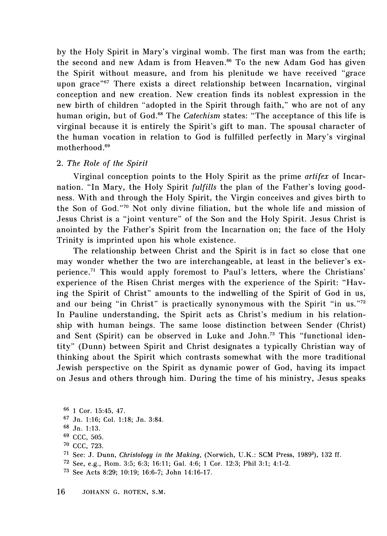by the Holy Spirit in Mary's virginal womb. The first man was from the earth; the second and new Adam is from Heaven. 66 To the new Adam God has given the Spirit without measure, and from his plenitude we have received "grace upon grace"<sup>67</sup> There exists a direct relationship between Incarnation, virginal conception and new creation. New creation finds its noblest expression in the new birth of children "adopted in the Spirit through faith," who are not of any human origin, but of God. 68 The *Catechism* states: "The acceptance of this life is virginal because it is entirely the Spirit's gift to man. The spousal character of the human vocation in relation to God is fulfilled perfectly in Mary's virginal motherhood  $69$ 

#### 2. *The Role of the Spirit*

Virginal conception points to the Holy Spirit as the prime *artifex* of Incarnation. "In Mary, the Holy Spirit *fulfills* the plan of the Father's loving goodness. With and through the Holy Spirit, the Virgin conceives and gives birth to the Son of God."<sup>70</sup> Not only divine filiation, but the whole life and mission of Jesus Christ is a "joint venture" of the Son and the Holy Spirit. Jesus Christ is anointed by the Father's Spirit from the Incarnation on; the face of the Holy Trinity is imprinted upon his whole existence.

The relationship between Christ and the Spirit is in fact so close that one may wonder whether the two are interchangeable, at least in the believer's experience.<sup>71</sup> This would apply foremost to Paul's letters, where the Christians' experience of the Risen Christ merges with the experience of the Spirit: "Having the Spirit of Christ" amounts to the indwelling of the Spirit of God in us, and our being "in Christ" is practically synonymous with the Spirit "in us."72 In Pauline understanding, the Spirit acts as Christ's medium in his relationship with human beings. The same loose distinction between Sender (Christ) and Sent (Spirit) can be observed in Luke and John.<sup>73</sup> This "functional identity" (Dunn) between Spirit and Christ designates a typically Christian way of thinking about the Spirit which contrasts somewhat with the more traditional Jewish perspective on the Spirit as dynamic power of God, having its impact on Jesus and others through him. During the time of his ministry, Jesus speaks

- 67 Jn. 1:16; Col. 1:18; Jn. 3:84.
- 68 Jn. 1:13.
- 69 CCC, 505.
- 7° CCC, 723.
- <sup>71</sup> See: J. Dunn, *Christology in the Making*, (Norwich, U.K.: SCM Press, 1989<sup>2</sup>), 132 ff.
- 72 See, e.g., Rom. 3:5; 6:3; 16:11; Gal. 4:6; 1 *Cor.* 12:3; Phil 3:1; 4:1-2.
- 73 See Acts 8:29; 10:19; 16:6-7; John 14:16-17.

<sup>66 1</sup> Cor. 15:45, 47.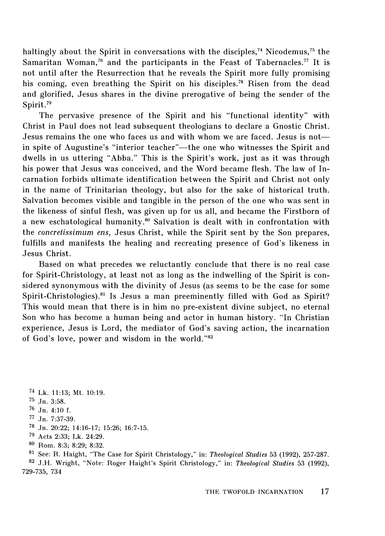haltingly about the Spirit in conversations with the disciples,<sup>74</sup> Nicodemus,<sup>75</sup> the Samaritan Woman,<sup>76</sup> and the participants in the Feast of Tabernacles.<sup>77</sup> It is not until after the Resurrection that he reveals the Spirit more fully promising his coming, even breathing the Spirit on his disciples.<sup>78</sup> Risen from the dead and glorified, Jesus shares in the divine prerogative of being the sender of the Spirit.<sup>79</sup>

The pervasive presence of the Spirit and his "functional identity" with Christ in Paul does not lead subsequent theologians to declare a Gnostic Christ. Jesus remains the one who faces us and with whom we are faced. Jesus is notin spite of Augustine's "interior teacher"—the one who witnesses the Spirit and dwells in us uttering "Abba." This is the Spirit's work, just as it was through his power that Jesus was conceived, and the Word became flesh. The law of Incarnation forbids ultimate identification between the Spirit and Christ not only in the name of Trinitarian theology, but also for the sake of historical truth. Salvation becomes visible and tangible in the person of the one who was sent in the likeness of sinful flesh, was given up for us all, and became the Firstborn of a new eschatological humanity.<sup>80</sup> Salvation is dealt with in confrontation with the *concretissimum ens,* Jesus Christ, while the Spirit sent by the Son prepares, fulfills and manifests the healing and recreating presence of God's likeness in Jesus Christ.

Based on what precedes we reluctantly conclude that there is no real case for Spirit-Christology, at least not as long as the indwelling of the Spirit is considered synonymous with the divinity of Jesus (as seems to be the case for some Spirit-Christologies).<sup>81</sup> Is Jesus a man preeminently filled with God as Spirit? This would mean that there is in him no pre-existent divine subject, no eternal Son who has become a human being and actor in human history. "In Christian experience, Jesus is Lord, the mediator of God's saving action, the incarnation of God's love, power and wisdom in the world."<sup>82</sup>

- <sup>74</sup>Lk. 11:13; Mt. 10:19.
- 75 Jn. 3:58.
- 76 Jn. 4:10 f.
- 77 Jn. 7:37-39.
- 78 Jn. 20:22; 14:16-17; 15:26; 16:7-15.
- 79 Acts 2:33; Lk. 24:29.
- 80 Rom. 8:3; 8:29; 8:32.

81 See: R. Haight, "The Case for Spirit Christology," in: *Theological Studies* 53 (1992), 257-287. 82 J.H. Wright, "Note: Roger Haight's Spirit Christology," in: *Theological Studies* 53 (1992), 729-735, 734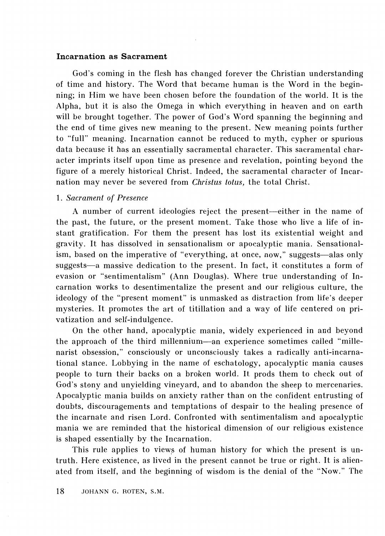#### **Incarnation as Sacrament**

God's coming in the flesh has changed forever the Christian understanding of time and history. The Word that became human is the Word in the beginning; in Him we have been chosen before the foundation of the world. It is the Alpha, but it is also the Omega in which everything in heaven and on earth will be brought together. The power of God's Word spanning the beginning and the end of time gives new meaning to the present. New meaning points further to "full" meaning. Incarnation cannot be reduced to myth, cypher or spurious data because it has an essentially sacramental character. This sacramental character imprints itself upon time as presence and revelation, pointing beyond the figure of a merely historical Christ. Indeed, the sacramental character of Incarnation may never be severed from *Christus lotus,* the total Christ.

#### 1. *Sacrament of Presence*

A number of current ideologies reject the present-either in the name of the past, the future, or the present moment. Take those who live a life of instant gratification. For them the present has lost its existential weight and gravity. It has dissolved in sensationalism or apocalyptic mania. Sensationalism, based on the imperative of "everything, at once, now," suggests—alas only suggests-a massive dedication to the present. In fact, it constitutes a form of evasion or "sentimentalism" (Ann Douglas). Where true understanding of Incarnation works to desentimentalize the present and our religious culture, the ideology of the "present moment" is unmasked as distraction from life's deeper mysteries. It promotes the art of titillation and a way of life centered on privatization and self-indulgence.

On the other hand, apocalyptic mania, widely experienced in and beyond the approach of the third millennium-an experience sometimes called "millenarist obsession," consciously or unconsciously takes a radically anti-incarnational stance. Lobbying in the name of eschatology, apocalyptic mania causes people to turn their backs on a broken world. It prods them to check out of God's stony and unyielding vineyard, and to abandon the sheep to mercenaries. Apocalyptic mania builds on anxiety rather than on the confident entrusting of doubts, discouragements and temptations of despair to the healing presence of the incarnate and risen Lord. Confronted with sentimentalism and apocalyptic mania we are reminded that the historical dimension of our religious existence is shaped essentially by the Incarnation.

This rule applies to views of human history for which the present is untruth. Here existence, as lived in the present cannot be true or right. It is alienated from itself, and the beginning of wisdom is the denial of the "Now." The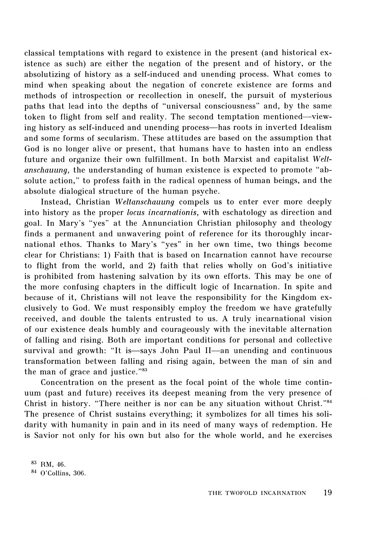classical temptations with regard to existence in the present (and historical existence as such) are either the negation of the present and of history, or the absolutizing of history as a self-induced and unending process. What comes to mind when speaking about the negation of concrete existence are forms and methods of introspection or recollection in oneself, the pursuit of mysterious paths that lead into the depths of "universal consciousness" and, by the same token to flight from self and reality. The second temptation mentioned-viewing history as self-induced and unending process—has roots in inverted Idealism and some forms of secularism. These attitudes are based on the assumption that God is no longer alive or present, that humans have to hasten into an endless future and organize their own fulfillment. In both Marxist and capitalist *Weltanschauung,* the understanding of human existence is expected to promote "absolute action," to profess faith in the radical openness of human beings, and the absolute dialogical structure of the human psyche.

Instead, Christian *Weltanschauung* compels us to enter ever more deeply into history as the proper *locus incarnationis,* with eschatology as direction and goal. In Mary's "yes" at the Annunciation Christian philosophy and theology finds a permanent and unwavering point of reference for its thoroughly incarnational ethos. Thanks to Mary's "yes" in her own time, two things become clear for Christians: 1) Faith that is based on Incarnation cannot have recourse to flight from the world, and 2) faith that relies wholly on God's initiative is prohibited from hastening salvation by its own efforts. This may be one of the more confusing chapters in the difficult logic of Incarnation. In spite and because of it, Christians will not leave the responsibility for the Kingdom exclusively to God. We must responsibly employ the freedom we have gratefully received, and double the talents entrusted to us. A truly incarnational vision of our existence deals humbly and courageously with the inevitable alternation of falling and rising. Both are important conditions for personal and collective survival and growth: "It is—says John Paul II—an unending and continuous transformation between falling and rising again, between the man of sin and the man of grace and justice. "83

Concentration on the present as the focal point of the whole time continuum (past and future) receives its deepest meaning from the very presence of Christ in history. "There neither is nor can be any situation without Christ. "84 The presence of Christ sustains everything; it symbolizes for all times his solidarity with humanity in pain and in its need of many ways of redemption. He is Savior not only for his own but also for the whole world, and he exercises

83 RM, 46. 84 O'Collins, 306.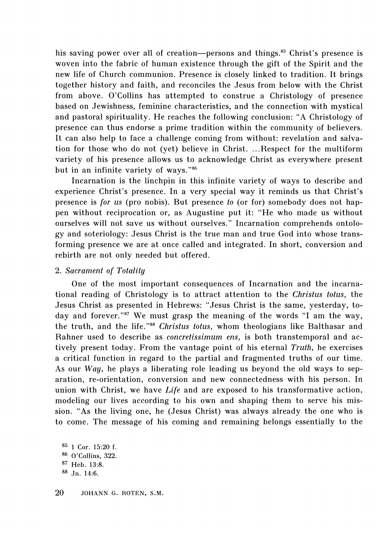his saving power over all of creation-persons and things.<sup>85</sup> Christ's presence is woven into the fabric of human existence through the gift of the Spirit and the new life of Church communion. Presence is closely linked to tradition. It brings together history and faith, and reconciles the Jesus from below with the Christ from above. O'Collins has attempted to construe a Christology of presence based on Jewishness, feminine characteristics, and the connection with mystical and pastoral spirituality. He reaches the following conclusion: "A Christology of presence can thus endorse a prime tradition within the community of believers. It can also help to face a challenge coming from without: revelation and salvation for those who do not (yet) believe in Christ. ... Respect for the multiform variety of his presence allows us to acknowledge Christ as everywhere present but in an infinite variety of ways. "86

Incarnation is the linchpin in this infinite variety of ways to describe and experience Christ's presence. In a very special way it reminds us that Christ's presence is *for us* (pro nobis). But presence *to* (or for) somebody does not happen without reciprocation or, as Augustine put it: "He who made us without ourselves will not save us without ourselves." Incarnation comprehends ontology and soteriology: Jesus Christ is the true man and true God into whose transforming presence we are at once called and integrated. In short, conversion and rebirth are not only needed but offered.

#### 2. *Sacrament of Totality*

One of the most important consequences of Incarnation and the incarnational reading of Christology is to attract attention to the *Christus lotus,* the Jesus Christ as presented in Hebrews: "Jesus Christ is the same, yesterday, today and forever."<sup>87</sup> We must grasp the meaning of the words "I am the way, the truth, and the life."<sup>88</sup> *Christus totus*, whom theologians like Balthasar and Rahner used to describe as *concretissimum ens,* is both transtemporal and actively present today. From the vantage point of his eternal *Truth,* he exercises a critical function in regard to the partial and fragmented truths of our time. As our *Way,* he plays a liberating role leading us beyond the old ways to separation, re-orientation, conversion and new connectedness with his person. In union with Christ, we have *Life* and are exposed to his transformative action, modeling our lives according to his own and shaping them to serve his mission. "As the living one, he (Jesus Christ) was always already the one who is to come. The message of his coming and remaining belongs essentially to the

85 1 Cor. 15:20 f. 86 O'Collins, 322. 87 Heb. 13:8. 88 Jn. 14:6.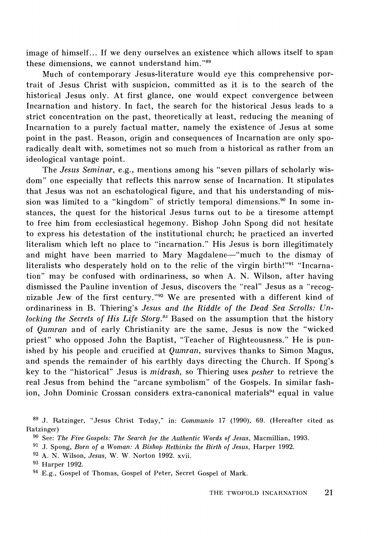image of himself... If we deny ourselves an existence which allows itself to span these dimensions, we cannot understand him. "89

Much of contemporary Jesus-literature would eye this comprehensive portrait of Jesus Christ with suspicion, committed as it is to the search of the historical Jesus only. At first glance, one would expect convergence between Incarnation and history. In fact, the search for the historical Jesus leads to a strict concentration on the past, theoretically at least, reducing the meaning of Incarnation to a purely factual matter, namely the existence of Jesus at some point in the past. Reason, origin and consequences of Incarnation are only sporadically dealt with, sometimes not so much from a historical as rather from an ideological vantage point.

The *Jesus Seminar,* e.g., mentions among his "seven pillars of scholarly wisdom" one especially that reflects this narrow sense of Incarnation. It stipulates that Jesus was not an eschatological figure, and that his understanding of mission was limited to a "kingdom" of strictly temporal dimensions.<sup>90</sup> In some instances, the quest for the historical Jesus turns out to be a tiresome attempt to free him from ecclesiastical hegemony. Bishop John Spong did not hesitate to express his detestation of the institutional church; he practiced an inverted literalism which left no place to "incarnation." His Jesus is born illegitimately and might have been married to Mary Magdalene-"much to the dismay of literalists who desperately hold on to the relic of the virgin birth!"91 "Incarnation" may be confused with ordinariness, so when A. N. Wilson, after having dismissed the Pauline invention of Jesus, discovers the "real" Jesus as a "recognizable Jew of the first century. "92 We are presented with a different kind of ordinariness in B. Thiering's *Jesus and the Riddle of the Dead Sea Scrolls: Unlocking the Secrets of His Life Story.<sup>93</sup>* Based on the assumption that the history of *Qumran* and of early Christianity are the same, Jesus is now the "wicked priest" who opposed John the Baptist, "Teacher of Righteousness." He is punished by his people and crucified at *Qumran,* survives thanks to Simon Magus, and spends the remainder of his earthly days directing the Church. If Spong's key to the "historical" Jesus is *midrash,* so Thiering uses *pesher* to retrieve the real Jesus from behind the "arcane symbolism" of the Gospels. In similar fashion, John Dominic Crossan considers extra-canonical materials<sup>94</sup> equal in value

89 J. Ratzinger, "Jesus Christ Today," in: *Communio* 17 (1990), 69. (Hereafter cited as Ratzinger)

<sup>90</sup> See: *The Five Gospels: The Search for the Authentic Words of Jesus,* Macmillian, 1993.

<sup>91</sup> J. Spong, *Born of a Woman: A Bishop Rethinks the Birth of Jesus,* Harper 1992.

<sup>92</sup> A. N. Wilson, *Jesus,* W. W. Norton 1992. xvii.

<sup>93</sup> Harper 1992.

<sup>94</sup> E.g., Gospel of Thomas, Gospel of Peter, Secret Gospel of Mark.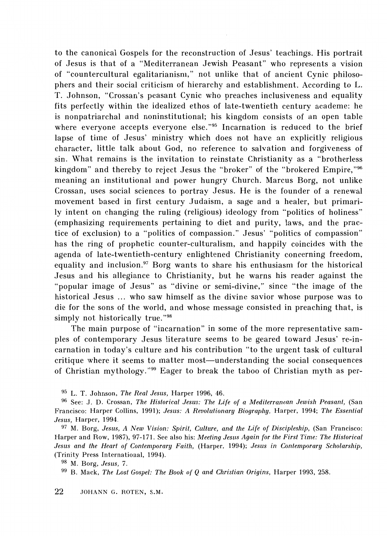to the canonical Gospels for the reconstruction of Jesus' teachings. His portrait of Jesus is that of a "Mediterranean Jewish Peasant" who represents a vision of "countercultural egalitarianism," not unlike that of ancient Cynic philosophers and their social criticism of hierarchy and establishment. According to L. T. Johnson, "Crossan's peasant Cynic who preaches inclusiveness and equality fits perfectly within the idealized ethos of late-twentieth century academe: he is nonpatriarchal and noninstitutional; his kingdom consists of an open table where everyone accepts everyone else."<sup>95</sup> Incarnation is reduced to the brief lapse of time of Jesus' ministry which does not have an explicitly religious character, little talk about God, no reference to salvation and forgiveness of sin. What remains is the invitation to reinstate Christianity as a "brotherless kingdom" and thereby to reject Jesus the "broker" of the "brokered Empire,"<sup>96</sup> meaning an institutional and power hungry Church. Marcus Borg, not unlike Crossan, uses social sciences to portray Jesus. He is the founder of a renewal movement based in first century Judaism, a sage and a healer, but primarily intent on changing the ruling (religious) ideology from "politics of holiness" (emphasizing requirements pertaining to diet and purity, laws, and the practice of exclusion) to a "politics of compassion." Jesus' "politics of compassion" has the ring of prophetic counter-culturalism, and happily coincides with the agenda of late-twentieth-century enlightened Christianity concerning freedom, equality and inclusion.<sup>97</sup> Borg wants to share his enthusiasm for the historical Jesus and his allegiance to Christianity, but he warns his reader against the "popular image of Jesus" as "divine or semi-divine," since "the image of the historical Jesus ... who saw himself as the divine savior whose purpose was to die for the sons of the world, and whose message consisted in preaching that, is simply not historically true."<sup>98</sup>

The main purpose of "incarnation" in some of the more representative samples of contemporary Jesus literature seems to be geared toward Jesus' re-incarnation in today's culture and his contribution "to the urgent task of cultural critique where it seems to matter most-understanding the social consequences of Christian mythology. "99 Eager to break the taboo of Christian myth as per-

95 L. T. Johnson, *The Real Jesus,* Harper 1996, 46.

96 See: J. D. Crossan, *The Historical Jesus: The Life of a Mediterranean Jewish Peasant,* (San Francisco: Harper Collins, 1991); *Jesus: A Revolutionary Biography,* Harper, 1994; *The Essential Jesus,* Harper, 1994.

97 M. Borg, *Jesus, A New Vision: Spirit, Culture, and the Life of Discipleship,* (San Francisco: Harper and Row, 1987), 97-171. See also his: *Meeting Jesus Again for the First Time: The Historical Jesus and the Hearl of Contemporary Faith,* (Harper, 1994); *Jesus in Contemporary Scholarship,*  (Trinity Press International, 1994).

98 M. Borg, *Jesus,* 7.

99 B. Mack, *The Lost Gospel: The Book of Q and Christian Origins,* Harper 1993, 258.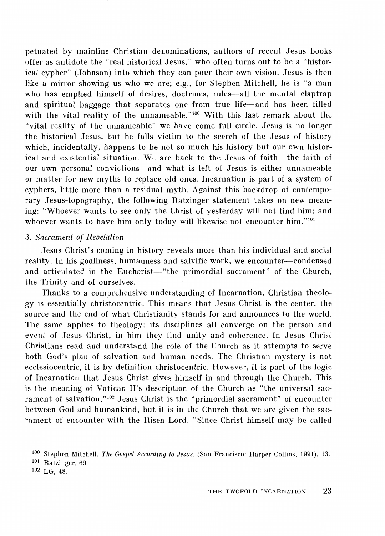petuated by mainline Christian denominations, authors of recent Jesus books offer as antidote the "real historical Jesus," who often turns out to be a "historical cypher" (Johnson) into which they can pour their own vision. Jesus is then like a mirror showing us who we are; e.g., for Stephen Mitchell, he is "a man who has emptied himself of desires, doctrines, rules-all the mental claptrap and spiritual baggage that separates one from true life-and has been filled with the vital reality of the unnameable."<sup>100</sup> With this last remark about the "vital reality of the unnameable" we have come full circle. Jesus is no longer the historical Jesus, but he falls victim to the search of the Jesus of history which, incidentally, happens to be not so much his history but our own historical and existential situation. We are back to the Jesus of faith-the faith of our own personal convictions-and what is left of Jesus is either unnameable or matter for new myths to replace old ones. Incarnation is part of a system of cyphers, little more than a residual myth. Against this backdrop of contemporary Jesus-topography, the following Ratzinger statement takes on new meaning: "Whoever wants to see only the Christ of yesterday will not find him; and whoever wants to have him only today will likewise not encounter him."<sup>101</sup>

#### 3. *Sacrament of Revelation*

Jesus Christ's coming in history reveals more than his individual and social reality. In his godliness, humanness and salvific work, we encounter-condensed and articulated in the Eucharist-"the primordial sacrament" of the Church, the Trinity and of ourselves.

Thanks to a comprehensive understanding of Incarnation, Christian theology is essentially christocentric. This means that Jesus Christ is the center, the source and the end of what Christianity stands for and announces to the world. The same applies to theology: its disciplines all converge on the person and event of Jesus Christ, in him they find unity and coherence. In Jesus Christ Christians read and understand the role of the Church as it attempts to serve both God's plan of salvation and human needs. The Christian mystery is not ecclesiocentric, it is by definition christocentric. However, it is part of the logic of Incarnation that Jesus Christ gives himself in and through the Church. This is the meaning of Vatican II's description of the Church as "the universal sacrament of salvation."<sup>102</sup> Jesus Christ is the "primordial sacrament" of encounter between God and humankind, but it is in the Church that we are given the sacrament of encounter with the Risen Lord. "Since Christ himself may be called

<sup>100</sup> Stephen Mitchell, *The Gospel According to Jesus,* (San Francisco: Harper Collins, 1991), 13.

<sup>101</sup> Ratzinger, 69.

<sup>102</sup> LG, 48.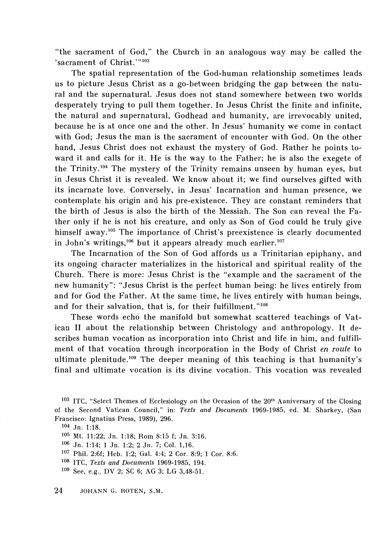"the sacrament of God," the Church in an analogous way may be called the 'sacrament of Christ.'"<sup>103</sup>

The spatial representation of the God-human relationship sometimes leads us to picture Jesus Christ as a go-between bridging the gap between the natural and the supernatural. Jesus does not stand somewhere between two worlds desperately trying to pull them together. In Jesus Christ the finite and infinite, the natural and supernatural, Godhead and humanity, are irrevocably united, because he is at once one and the other. In Jesus' humanity we come in contact with God; Jesus the man is the sacrament of encounter with God. On the other hand, Jesus Christ does not exhaust the mystery of God. Rather he points toward it and calls for it. He is the way to the Father; he is also the exegete of the Trinity .104 The mystery of the Trinity remains unseen by human eyes, but in Jesus Christ it is revealed. We know about it; we find ourselves gifted with its incarnate love. Conversely, in Jesus' Incarnation and human presence, we contemplate his origin and his pre-existence. They are constant reminders that the birth of Jesus is also the birth of the Messiah. The Son can reveal the Father only if he is not his creature, and only as Son of God could he truly give himself away.<sup>105</sup> The importance of Christ's preexistence is clearly documented in John's writings,<sup>106</sup> but it appears already much earlier.<sup>107</sup>

The Incarnation of the Son of God affords us a Trinitarian epiphany, and its ongoing character materializes in the historical and spiritual reality of the Church. There is more: Jesus Christ is the "example and the sacrament of the new humanity": "Jesus Christ is the perfect human being: he lives entirely from and for God the Father. At the same time, he lives entirely with human beings, and for their salvation, that is, for their fulfillment."<sup>108</sup>

These words echo the manifold but somewhat scattered teachings of Vatican II about the relationship between Christology and anthropology. It describes human vocation as incorporation into Christ and life in him, and fulfillment of that vocation through incorporation in the Body of Christ *en route* to ultimate plenitude.<sup>109</sup> The deeper meaning of this teaching is that humanity's final and ultimate vocation is its divine vocation. This vocation was revealed

<sup>&</sup>lt;sup>103</sup> ITC, "Select Themes of Ecclesiology on the Occasion of the  $20<sup>th</sup>$  Anniversary of the Closing of the Second Vatican Council," in: *Texts and Documents* 1969-1985, ed. M. Sharkey, (San Francisco: Ignatius Press, 1989), 296.

<sup>104</sup> Jn. 1:18.

<sup>105</sup> Mt. 11:22; Jn. 1:18; Rom 8:15 f; Jn. 3:16.

<sup>106</sup>Jn. 1:14; 1 Jn. 1:2; 2 Jn. 7; Col. 1,16.

<sup>107</sup> Phil. 2:6f; Heb. 1 :2; Gal. 4:4; 2 Cor. 8:9; 1 Cor. 8:6.

<sup>108</sup>lTC, *Texts and Documents* 1969-1985, 194.

<sup>109</sup> See, e.g., DV 2; SC 6; AG 3; LG 3,48-51.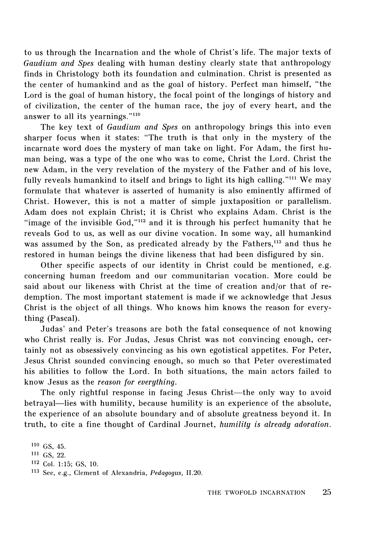to us through the Incarnation and the whole of Christ's life. The major texts of *Gaudium and Spes* dealing with human destiny clearly state that anthropology finds in Christology both its foundation and culmination. Christ is presented as the center of humankind and as the goal of history. Perfect man himself, "the Lord is the goal of human history, the focal point of the longings of history and of civilization, the center of the human race, the joy of every heart, and the answer to all its yearnings."<sup>110</sup>

The key text of *Gaudium and Spes* on anthropology brings this into even sharper focus when it states: "The truth is that only in the mystery of the incarnate word does the mystery of man take on light. For Adam, the first human being, was a type of the one who was to come, Christ the Lord. Christ the new Adam, in the very revelation of the mystery of the Father and of his love, fully reveals humankind to itself and brings to light its high calling."<sup>111</sup> We may formulate that whatever is asserted of humanity is also eminently affirmed of Christ. However, this is not a matter of simple juxtaposition or parallelism. Adam does not explain Christ; it is Christ who explains Adam. Christ is the "image of the invisible God,"<sup>112</sup> and it is through his perfect humanity that he reveals God to us, as well as our divine vocation. In some way, all humankind was assumed by the Son, as predicated already by the Fathers,<sup>113</sup> and thus he restored in human beings the divine likeness that had been disfigured by sin.

Other specific aspects of our identity in Christ could be mentioned, e.g. concerning human freedom and our communitarian vocation. More could be said about our likeness with Christ at the time of creation and/or that of redemption. The most important statement is made if we acknowledge that Jesus Christ is the object of all things. Who knows him knows the reason for everything (Pascal).

Judas' and Peter's treasons are both the fatal consequence of not knowing who Christ really is. For Judas, Jesus Christ was not convincing enough, certainly not as obsessively convincing as his own egotistical appetites. For Peter, Jesus Christ sounded convincing enough, so much so that Peter overestimated his abilities to follow the Lord. In both situations, the main actors failed to know Jesus as the *reason for everything.* 

The only rightful response in facing Jesus Christ—the only way to avoid betrayal-lies with humility, because humility is an experience of the absolute, the experience of an absolute boundary and of absolute greatness beyond it. In truth, to cite a fine thought of Cardinal Journet, *humility is already adoration*.

110 GS, 45. 111 GS, 22. 112 Col. 1:15; GS, 10. 113 See, e.g., Clement of Alexandria, *Pedagogus,* 11.20.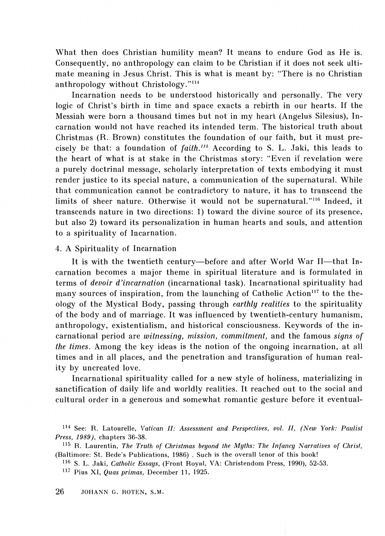What then does Christian humility mean? It means to endure God as He is. Consequently, no anthropology can claim to be Christian if it does not seek ultimate meaning in Jesus Christ. This is what is meant by: "There is no Christian anthropology without Christology." $114$ 

Incarnation needs to be understood historically and personally. The very logic of Christ's birth in time and space exacts a rebirth in our hearts. If the Messiah were born a thousand times but not in my heart (Angelus Silesius), Incarnation would not have reached its intended term. The historical truth about Christmas (R. Brown) constitutes the foundation of our faith, but it must precisely be that: a foundation of *faith*.<sup>115</sup> According to S. L. Jaki, this leads to the heart of what is at stake in the Christmas story: "Even if revelation were a purely doctrinal message, scholarly interpretation of texts embodying it must render justice to its special nature, a communication of the supernatural. While that communication cannot be contradictory to nature, it has to transcend the limits of sheer nature. Otherwise it would not be supernatural. "116 Indeed, it transcends nature in two directions: 1) toward the divine source of its presence, but also 2) toward its personalization in human hearts and souls, and attention to a spirituality of Incarnation.

#### 4. A Spirituality of Incarnation

It is with the twentieth century-before and after World War II-that Incarnation becomes a major theme in spiritual literature and is formulated in terms of *devoir d'incarnation* (incarnational task). lncarnational spirituality had many sources of inspiration, from the launching of Catholic Action<sup>117</sup> to the theology of the Mystical Body, passing through *earthly realities* to the spirituality of the body and of marriage. It was influenced by twentieth-century humanism, anthropology, existentialism, and historical consciousness. Keywords of the incarnational period are *witnessing, mission, commitment,* and the famous *signs of the times.* Among the key ideas is the notion of the ongoing incarnation, at all times and in all places, and the penetration and transfiguration of human reality by uncreated love.

Incarnational spirituality called for a new style of holiness, materializing in sanctification of daily life and worldly realities. It reached out to the social and cultural order in a generous and somewhat romantic gesture before it eventual-

<sup>114</sup> See: R. Latourelle, *Vatican II: Assessment and Perspectives, vol. II, (New York: Paulist Press, 1989 ),* chapters 36-38.

<sup>115</sup> R. Laurentin, *The Truth of Christmas beyond the Myths: The Infancy Narratives of Christ,*  (Baltimore: St. Bede's Publications, 1986) . Such is the overall tenor of this book!

<sup>116</sup> S. L. Jaki, *Catholic Essays,* (Front Royal, VA: Christendom Press, 1990), 52-53.

<sup>117</sup> Pius XI, *Quas primas,* December 11, 1925.